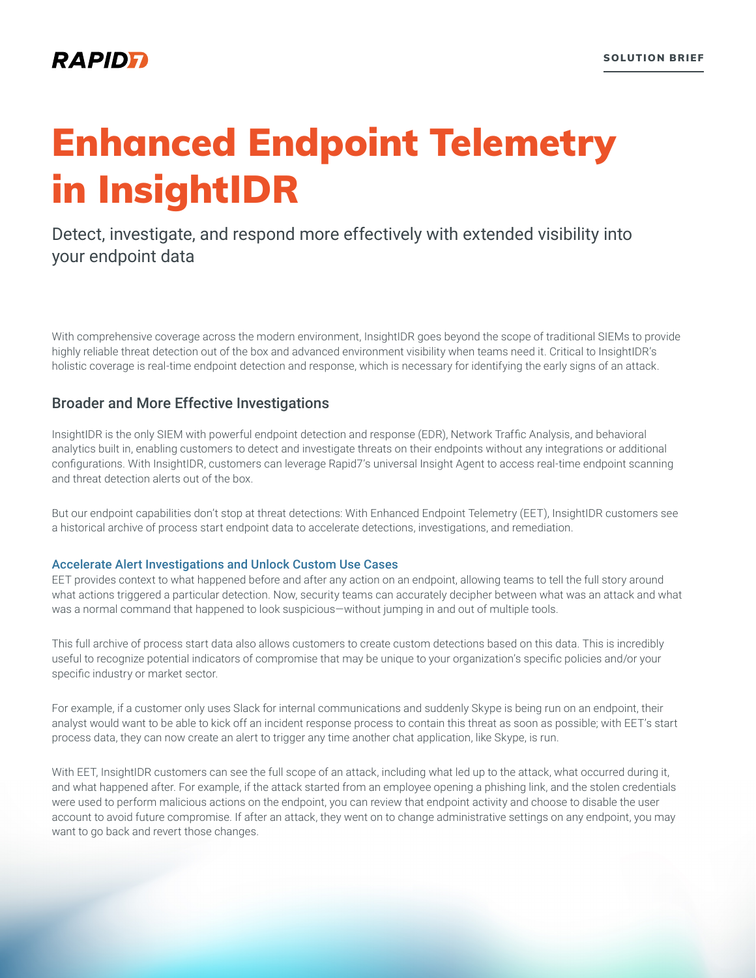# Enhanced Endpoint Telemetry in InsightIDR

## Detect, investigate, and respond more effectively with extended visibility into your endpoint data

With comprehensive coverage across the modern environment, InsightIDR goes beyond the scope of traditional SIEMs to provide highly reliable threat detection out of the box and advanced environment visibility when teams need it. Critical to InsightIDR's holistic coverage is real-time endpoint detection and response, which is necessary for identifying the early signs of an attack.

## Broader and More Effective Investigations

InsightIDR is the only SIEM with powerful endpoint detection and response (EDR), Network Traffic Analysis, and behavioral analytics built in, enabling customers to detect and investigate threats on their endpoints without any integrations or additional configurations. With InsightIDR, customers can leverage Rapid7's universal Insight Agent to access real-time endpoint scanning and threat detection alerts out of the box.

But our endpoint capabilities don't stop at threat detections: With Enhanced Endpoint Telemetry (EET), InsightIDR customers see a historical archive of process start endpoint data to accelerate detections, investigations, and remediation.

#### Accelerate Alert Investigations and Unlock Custom Use Cases

EET provides context to what happened before and after any action on an endpoint, allowing teams to tell the full story around what actions triggered a particular detection. Now, security teams can accurately decipher between what was an attack and what was a normal command that happened to look suspicious—without jumping in and out of multiple tools.

This full archive of process start data also allows customers to create custom detections based on this data. This is incredibly useful to recognize potential indicators of compromise that may be unique to your organization's specific policies and/or your specific industry or market sector.

For example, if a customer only uses Slack for internal communications and suddenly Skype is being run on an endpoint, their analyst would want to be able to kick off an incident response process to contain this threat as soon as possible; with EET's start process data, they can now create an alert to trigger any time another chat application, like Skype, is run.

With EET, InsightIDR customers can see the full scope of an attack, including what led up to the attack, what occurred during it, and what happened after. For example, if the attack started from an employee opening a phishing link, and the stolen credentials were used to perform malicious actions on the endpoint, you can review that endpoint activity and choose to disable the user account to avoid future compromise. If after an attack, they went on to change administrative settings on any endpoint, you may want to go back and revert those changes.